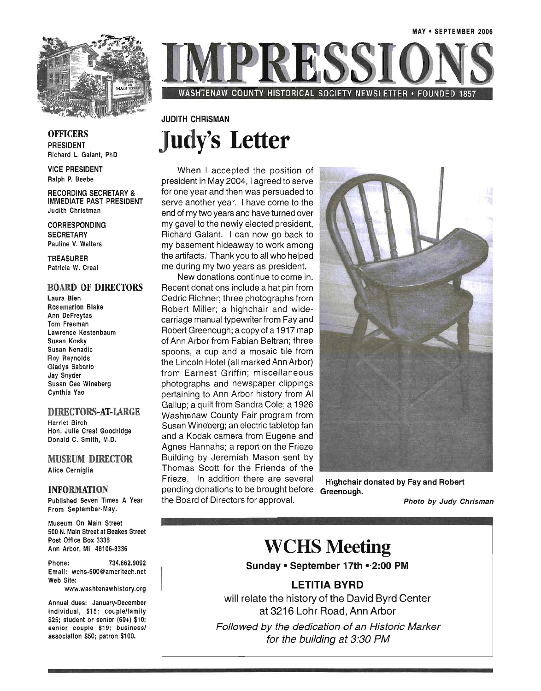

WASHTENAW COUNTY HISTORICAL SOCIETY NEWSLETTER • FOUNDED 1857

### JUDITH CHRISMAN **Judy's Letter**

When I accepted the position of president in May 2004, I agreed to serve for one year and then was persuaded to serve another year. I have come to the end of my two years and have turned over my gavel to the newly elected president, Richard Galant. I can now go back to my basement hideaway to work among the artifacts. Thank you to all who helped me during my two years as president.

New donations continue to come in. Recent donations include a hat pin from Cedric Richner; three photographs from Robert Miller; a highchair and widecarriage manual typewriter from Fay and Robert Greenough; a copy of a 1917 map of Ann Arbor from Fabian Beltran; three spoons, a cup and a mosaic tile from the Lincoln Hotel (all marked Ann Arbor) from Earnest Griffin; miscellaneous photographs and newspaper clippings pertaining to Ann Arbor history from AI Gallup; a quilt from Sandra Cole; a 1926 Washtenaw County Fair program from Susan Wineberg; an electric tabletop fan and a Kodak camera from Eugene and Agnes Hannahs; a report on the Frieze Building by Jeremiah Mason sent by Thomas Scott for the Friends of the Frieze. In addition there are several Highchair donated by Fay and Robert pending donations to be brought before Greenough.

## WCHS Meeting

Sunday · September 17th · 2:00 PM

#### LETITIA BYRD

will relate the history of the David Byrd Center at 3216 Lohr Road, Ann Arbor

Followed by the dedication of an Historic Marker for the building at 3:30 PM

**OFFICERS** PRESIDENT Richard L. Galant, PhD

VICE PRESIDENT Ralph P. Beebe

RECORDING SECRETARY & IMMEDIATE PAST PRESIDENT Judith Christman

CORRESPONDING **SECRETARY** Pauline V. Walters

TREASURER Patricia W. Creal

### BOARD OF DIRECTORS

Laura Bien Rosemarion Blake Ann DeFreytas Tom Freeman Lawrence Kestenbaum Susan Kosky Susan Nenadic Roy Reynolds Gladys Saborio Jay Snyder Susan Cee Wineberg Cynthia Yao

#### DIRECTORS-AT-LARGE

Harriet Birch Hon. Julie Creal Goodridge Donald C. Smith, M.D.

MUSEUM DIRECTOR Alice Cerniglia

#### INFORMATION

Published Seven Times A Year From September-May.

Museum On Main Street 500 N. Main Street at Beakes Street Post Office Box 3336 Ann Arbor, MI 48106-3336

Phone: 734.662.9092 Email: wchs-500@ameritech.net Web Site:

www.washtenawhistory.org

Annual dues: January-December individual, \$15; couple/family \$25; student or senior (60+) \$10; senior couple \$19; businessl association \$50; patron \$100.

the Board of Directors for approval. Photo by Judy Chrisman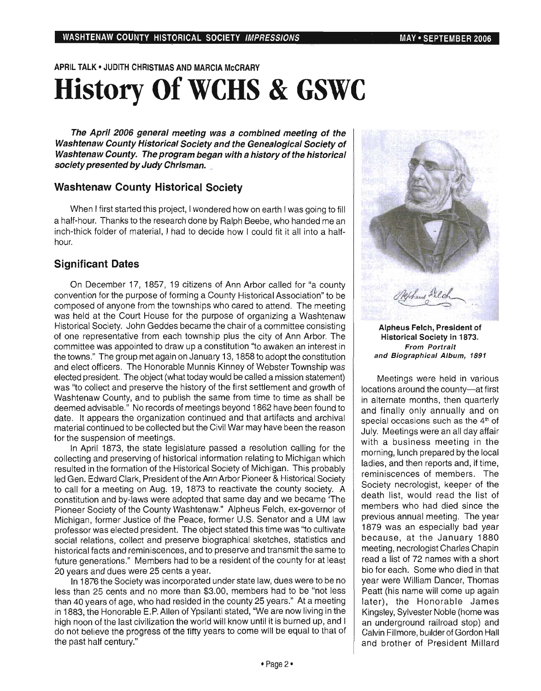APRIL TALK' JUDITH CHRISTMAS AND MARCIA McCRARY

# History Of WCHS & GSWC

The April 2006 general meeting was a combined meeting of the Washtenaw County Historical Society and the Genealogical Society of Washtenaw County. The program began with a history of the historical society presented by Judy Chrisman.

#### Washtenaw County Historical Society

When I first started this project, I wondered how on earth I was going to fill a half-hour. Thanks to the research done by Ralph Beebe, who handed me an inch-thick folder of material, I had to decide how I could fit it all into a halfhour.

### Significant Dates

On December 17, 1857, 19 citizens of Ann Arbor called for "a county convention for the purpose of forming a County Historical Association" to be composed of anyone from the townships who cared to attend. The meeting was held at the Court House for the purpose of organizing a Washtenaw Historical Society. John Geddes became the chair of a committee consisting of one representative from each township plus the city of Ann Arbor. The committee was appointed to draw up a constitution "to awaken an interest in the towns." The group met again on January 13, 1858 to adopt the constitution and elect officers. The Honorable Munnis Kinney of Webster Township was elected president. The object (what today would be called a mission statement) was "to collect and preserve the history of the first settlement and growth of Washtenaw County, and to publish the same from time to time as shall be deemed advisable." No records of meetings beyond 1862 have been found to date. It appears the organization continued and that artifacts and archival material continued to be collected but the Civil War may have been the reason for the suspension of meetings.

In April 1873, the state legislature passed a resolution calling for the collecting and preserving of historical information relating to Michigan which resulted in the formation of the Historical Society of Michigan. This probably led Gen. Edward Clark, President of the Ann Arbor Pioneer & Historical Society to call for a meeting on Aug. 19, 1873 to reactivate the county society. A constitution and by-laws were adopted that same day and we became 'The Pioneer Society of the County Washtenaw." Alpheus Felch, ex-governor of Michigan, former Justice of the Peace, former U.S. Senator and a UM law professor was elected president. The object stated this time was "to cultivate social relations, collect and preserve biographical sketches, statistics and historical facts and reminiscences, and to preserve and transmit the same to future generations." Members had to be a resident of the county for at least 20 years and dues were 25 cents a year.

In 1876 the Society was incorporated under state law, dues were to be no less than 25 cents and no more than \$3.00, members had to be "not less than 40 years of age, who had resided in the county 25 years." At a meeting in 1883, the Honorable E.P. Allen of Ypsilanti stated, "We are now living in the high noon of the last civilization the world will know until it is burned up, and I do not believe the progress of the fifty years to come will be equal to that of the past half century."



Alpheus Felch, President of Historical Society in 1873. From Portrait and Biographical Album, 1891

Meetings were held in various locations around the county-at first in alternate months, then quarterly and finally only annually and on special occasions such as the  $4<sup>th</sup>$  of July. Meetings were an all day affair with a business meeting in the morning, lunch prepared by the local ladies, and then reports and, if time, reminiscences of members. The Society necrologist, keeper of the death list, would read the list of members who had died since the previous annual meeting. The year 1879 was an especially bad year because, at the January 1880 meeting, necrologist Charles Chapin read a list of 72 names with a short bio for each. Some who died in that year were William Dancer, Thomas Peatt (his name will come up again later), the Honorable James Kingsley, Sylvester Noble (home was an underground railroad stop) and Calvin Fillmore, builder of Gordon Hall and brother of President Millard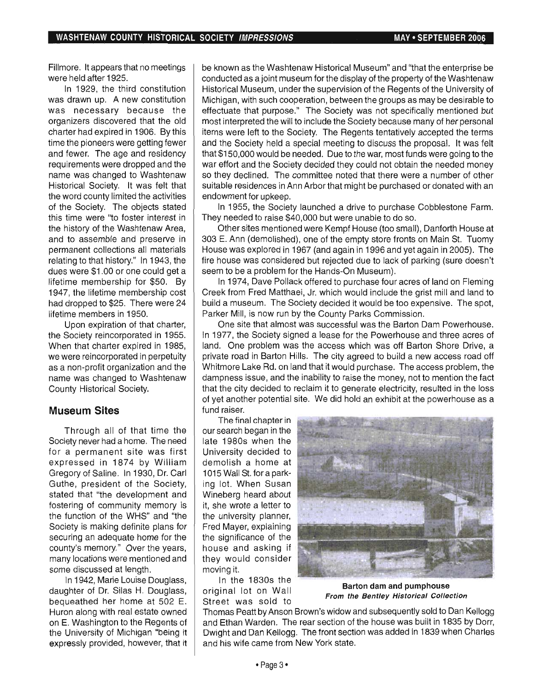Fillmore. It appears that no meetings were held after 1925.

In 1929, the third constitution was drawn up. A new constitution was necessary because the organizers discovered that the old charter had expired in 1906. By this time the pioneers were getting fewer and fewer. The age and residency requirements were dropped and the name was changed to Washtenaw Historical Society. It was felt that the word county limited the activities of the Society. The objects stated this time were "to foster interest in the history of the Washtenaw Area, and to assemble and preserve in permanent collections all materials relating to that history." In 1943, the dues were \$1.00 or one could get a lifetime membership for \$50. By 1947, the lifetime membership cost had dropped to \$25. There were 24 lifetime members in 1950.

Upon expiration of that charter, the Society reincorporated in 1955. When that charter expired in 1985, we were reincorporated in perpetuity as a non-profit organization and the name was changed to Washtenaw County Historical Society.

### **Museum Sites**

Through all of that time the Society never had a home. The need for a permanent site was first expressed in 1874 by William Gregory of Saline. In 1930, Dr. Carl Guthe, president of the Society, stated that "the development and fostering of community memory is the function of the WHS" and "the Society is making definite plans for securing an adequate home for the county's memory." Over the years, many locations were mentioned and some discussed at length.

In 1942, Marie Louise Douglass, daughter of Dr. Silas H. Douglass, bequeathed her home at 502 E. Huron along with real estate owned on E. Washington to the Regents of the University of Michigan "being it expressly provided, however, that it be known as the Washtenaw Historical Museum" and "that the enterprise be conducted as a joint museum for the display of the property of the Washtenaw Historical Museum, under the supervision of the Regents of the University of Michigan, with such cooperation, between the groups as may be desirable to effectuate that purpose." The Society was not specifically mentioned but most interpreted the will to include the Society because many of her personal items were left to the Society. The Regents tentatively accepted the terms and the Society held a special meeting to discuss the proposal. It was felt that \$150,000 would be needed. Due to the war, most funds were going to the war effort and the Society decided they could not obtain the needed money so they declined. The committee noted that there were a number of other suitable residences in Ann Arbor that might be purchased or donated with an endowment for upkeep.

In 1955, the Society launched a drive to purchase Cobblestone Farm. They needed to raise \$40,000 but were unable to do so.

Other sites mentioned were Kempf House (too small), Danforth House at 303 E. Ann (demolished), one of the empty store fronts on Main St. Tuomy House was explored in 1967 (and again in 1996 and yet again in 2005). The fire house was considered but rejected due to lack of parking (sure doesn't seem to be a problem for the Hands-On Museum).

In 1974, Dave Pollack offered to purchase four acres of land on Fleming Creek from Fred Matthaei, Jr. which would include the grist mill and land to build a museum. The Society decided it would be too expensive. The spot, Parker Mill, is now run by the County Parks Commission.

One site that almost was successful was the Barton Dam Powerhouse. In 1977, the Society signed a lease for the Powerhouse and three acres of land. One problem was the access which was off Barton Shore Drive, a private road in Barton Hills. The city agreed to build a new access road off Whitmore Lake Rd. on land that it would purchase. The access problem, the dampness issue, and the inability to raise the money, not to mention the fact that the city decided to reclaim it to generate electricity, resulted in the loss of yet another potential site. We did hold an exhibit at the powerhouse as a fund raiser.

The final chapter in our search began in the late 1980s when the University decided to demolish a home at 1015 Wall St. for a parking lot. When Susan Wineberg heard about it, she wrote a letter to the university planner, Fred Mayer, explaining the significance of the house and asking if they would consider moving it.

In the 1830s the original lot on Wall Street was sold to



Barton dam and pumphouse From the Bentley Historical Collection

Thomas Peatt by Anson Brown's widow and subsequently sold to Dan Kellogg and Ethan Warden. The rear section of the house was built in 1835 by Dorr, Dwight and Dan Kellogg. The front section was added in 1839 when Charles and his wife came from New York state.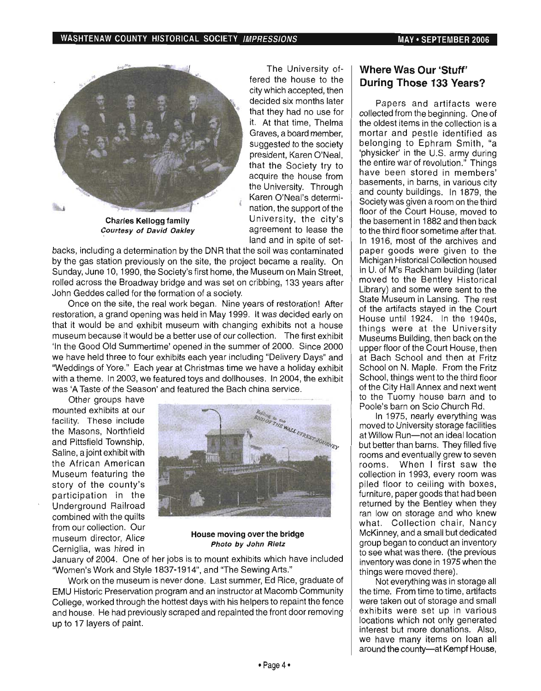

Charles Kellogg family Courtesy of David Oakley

The University offered the house to the city which accepted, then decided six months later that they had no use for it. At that time, Thelma Graves, a board member, suggested to the society president, Karen O'Neal, that the Society try to acquire the house from the University. Through Karen O'Neal's determination, the support of the University, the city's agreement to lease the land and in spite of set-

backs, including a determination by the DNR that the soil was contaminated by the gas station previously on the site, the project became a reality. On Sunday, June 10, 1990, the Society's first home, the Museum on Main Street, rolled across the Broadway bridge and was set on cribbing, 133 years after John Geddes called for the formation of a society.

Once on the site, the real work began. Nine years of restoration! After restoration, a grand opening was held in May 1999. It was decided early on that it would be and exhibit museum with changing exhibits not a house museum because it would be a better use of our collection. The first exhibit 'In the Good Old Summertime' opened in the summer of 2000. Since 2000 we have held three to four exhibits each year including "Delivery Days" and 'Weddings of Yore." Each year at Christmas time we have a holiday exhibit with a theme. In 2003, we featured toys and dollhouses. In 2004, the exhibit was 'A Taste of the Season' and featured the Bach china service.

Other groups have mounted exhibits at our facility. These include the Masons, Northfield and Pittsfield Township, Saline, a joint exhibit with the African American Museum featuring the story of the county's participation in the Underground Railroad combined with the quilts from our collection. Our museum director, Alice Cerniglia, was hired in



House moving over the bridge Photo by John Rietz

January of 2004. One of her jobs is to mount exhibits which have included "Women's Work and Style 1837-1914", and "The Sewing Arts."

Work on the museum is never done. Last summer, Ed Rice, graduate of EMU Historic Preservation program and an instructor at Macomb Community College, worked through the hottest days with his helpers to repaint the fence and house. He had previously scraped and repainted the front door removing up to 17 layers of paint.

### **Where Was Our** 'Stuff' **During Those 133 Years?**

Papers and artifacts were collected from the beginning. One of the oldest items in the collection is a mortar and pestle identified as belonging to Ephram Smith, "a 'physicker' in the U.S. army during the entire war of revolution." Things have been stored in members' basements, in barns, in various city and county buildings. In 1879, the Society was given a room on the third floor of the Court House, moved to the basement in 1882 and then back to the third floor sometime after that. In 1916, most of the archives and paper goods were given to the Michigan Historical Collection housed in U. of M's Rackham building (later moved to the Bentley Historical Library) and some were sent to the State Museum in Lansing. The rest of the artifacts stayed in the Court House until 1924. In the 1940s, things were at the University Museums Building, then back on the upper floor of the Court House, then at Bach School and then at Fritz School on N. Maple. From the Fritz School, things went to the third floor of the City Hall Annex and next went to the Tuomy house barn and to Poole's barn on Scio Church Rd.

In 1975, nearly everything was moved to University storage facilities at Willow Run-not an ideal location but better than barns. They filled five rooms and eventually grew to seven rooms. When I first saw the collection in 1993, every room was piled floor to ceiling with boxes, furniture, paper goods that had been returned by the Bentley when they ran low on storage and who knew what. Collection chair, Nancy McKinney, and a small but dedicated group began to conduct an inventory to see what was there. (the previous inventory was done in 1975 when the things were moved there).

Not everything was in storage all the time. From time to time, artifacts were taken out of storage and small exhibits were set up in various locations which not only generated interest but more donations. Also, we have many items on loan all around the county-at Kempf House,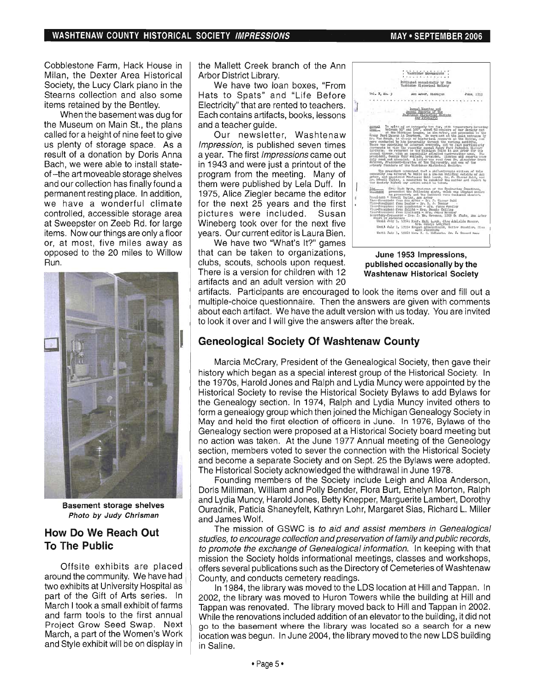Cobblestone Farm, Hack House in Milan, the Dexter Area Historical Society, the Lucy Clark piano in the Stearns collection and also some items retained by the Bentley.

When the basement was dug for the Museum on Main St., the plans called for a height of nine feet to give us plenty of storage space. As a result of a donation by Doris Anna Bach, we were able to install stateof-the art moveable storage shelves and our collection has finally found a permanent resting place. In addition, we have a wonderful climate controlled, accessible storage area at Sweepster on Zeeb Rd. for large items. Now our things are only a floor or, at most, five miles away as opposed to the 20 miles to Willow Run.



Basement storage shelves Photo by Judy Chrisman

### **How Do We Reach Out To The Public**

Offsite exhibits are placed around the community. We have had two exhibits at University Hospital as part of the Gift of Arts series. In March I took a small exhibit of farms and farm tools to the first annual Project Grow Seed Swap. Next March, a part of the Women's Work and Style exhibit will be on display in

the Mallett Creek branch of the Ann Arbor District Library.

We have two loan boxes, "From Hats to Spats" and "Life Before Electricity" that are rented to teachers. Each contains artifacts, books, lessons and a teacher guide.

Our newsletter, Washtenaw Impression, is published seven times a year. The first Impressions came out in 1943 and were just a printout of the program from the meeting. Many of them were published by Lela Duff. In 1975, Alice Ziegler became the editor , for the next 25 years and the first pictures were included. Susan Wineberg took over for the next five years. Our current editor is Laura Bien.

We have two "What's It?" games that can be taken to organizations, clubs, scouts, schools upon request. There is a version for children with 12 artifacts and an adult version with 20



June 1953 Impressions, published occasionally by the Washtenaw Historical Society

artifacts. Participants are encouraged to look the items over and fill out a multiple-choice questionnaire. Then the answers are given with comments about each artifact. We have the adult version with us today. You are invited to look it over and I will give the answers after the break.

### **Geneological Society Of Washtenaw County**

Marcia McCrary, President of the Genealogical Society, then gave their history which began as a special interest group of the Historical Society. In the 1970s, Harold Jones and Ralph and Lydia Muncy were appointed by the Historical Society to revise the Historical Society Bylaws to add Bylaws for the Genealogy section. In 1974, Ralph and Lydia Muncy invited others to form a genealogy group which then joined the Michigan Genealogy Society in May and held the first election of officers in June. In 1976, Bylaws of the Genealogy section were proposed at a Historical Society board meeting but no action was taken. At the June 1977 Annual meeting of the Geneology section, members voted to sever the connection with the Historical Society and become a separate Society and on Sept. 25 the Bylaws were adopted. The Historical Society acknowledged the withdrawal in June 1978.

Founding members of the Society include Leigh and Alloa Anderson, Doris Milliman, William and Polly Bender, Flora Burt, Ethelyn Morton, Ralph and Lydia Muncy, Harold Jones, Betty Knepper, Marguerite Lambert, Dorothy Ouradnik, Paticia Shaneyfelt, Kathryn Lohr, Margaret Sias, Richard L. Miller and James Wolf.

The mission of GSWC is to aid and assist members in Genealogical studies, to encourage collection and preservation of family and public records, to promote the exchange of Genealogical information. In keeping with that mission the Society holds informational meetings, classes and workshops, offers several publications such as the Directory of Cemeteries of Washtenaw County, and conducts cemetery readings.

In 1984, the library was moved to the LDS location at Hill and Tappan. In 2002, the library was moved to Huron Towers while the building at Hill and Tappan was renovated. The library moved back to Hill and Tappan in 2002. While the renovations included addition of an elevator to the building, it did not go to the basement where the library was located so a search for a new location was begun. In June 2004, the library moved to the new LDS building in Saline.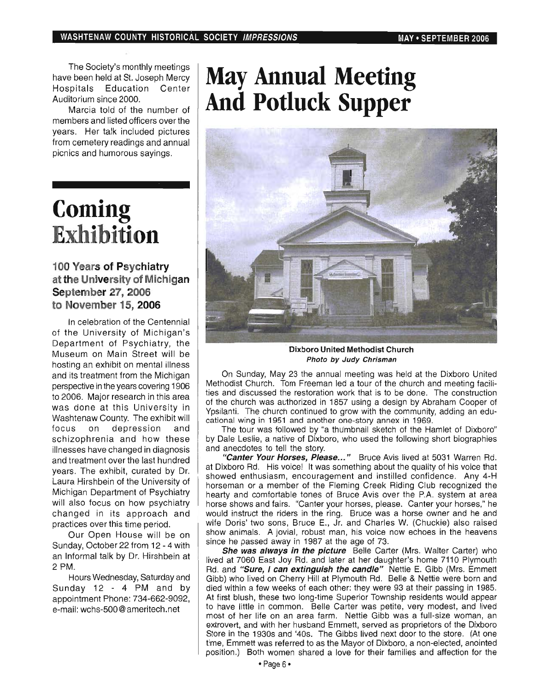The Society's monthly meetings have been held at St. Joseph Mercy Hospitals Education Center Auditorium since 2000.

Marcia told of the number of members and listed officers over the years. Her talk included pictures from cemetery readings and annual picnics and humorous sayings.

## **Coming Exhibition**

### **100 Years of Psychiatry at the University of Michigan September 27, 2006 to November** 15, **2006**

In celebration of the Centennial of the University of Michigan'S Department of Psychiatry, the Museum on Main Street will be hosting an exhibit on mental illness and its treatment from the Michigan perspective in the years covering 1906 to 2006. Major research in this area was done at this University in Washtenaw County. The exhibit will focus on depression and schizophrenia and how these illnesses have changed in diagnosis and treatment over the last hundred years. The exhibit, curated by Dr. Laura Hirshbein of the University of Michigan Department of Psychiatry will also focus on how psychiatry changed in its approach and practices over this time period.

Our Open House will be on Sunday, October 22 from 12 - 4 with an Informal talk by Dr. Hirshbein at 2 PM.

Hours Wednesday, Saturday and Sunday 12 - 4 PM and by appointment Phone: 734-662-9092, e-mail: wchs-500@ameritech.net

# **May Annual Meeting And Potluck Supper**



Dixboro United Methodist Church Photo by Judy Chrisman

On Sunday, May 23 the annual meeting was held at the Dixboro United Methodist Church. Tom Freeman led a tour of the church and meeting facilities and discussed the restoration work that is to be done. The construction of the church was authorized in 1857 using a design by Abraham Cooper of Ypsilanti. The church continued to grow with the community, adding an educational wing in 1951 and another one-story annex in 1969.

The tour was followed by "a thumbnail sketch of the Hamlet of Dixboro" by Dale Leslie, a native of Dixboro, who used the following short biographies and anecdotes to tell the story.

"Canter Your Horses, Please..." Bruce Avis lived at 5031 Warren Rd. at Dixboro Rd. His voice! It was something about the quality of his voice that showed enthusiasm, encouragement and instilled confidence. Any 4-H horseman or a member of the Fleming Creek Riding Club recognized the hearty and comfortable tones of Bruce Avis over the P.A. system at area horse shows and fairs. "Canter your horses, please. Canter your horses," he would instruct the riders in the ring. Bruce was a horse owner and he and wife Doris' two sons, Bruce E., Jr. and Charles W. (Chuckie) also raised show animals. A jovial, robust man, his voice now echoes in the heavens since he passed away in 1987 at the age of 73.

She was always in the picture Belle Carter (Mrs. Walter Carter) who lived at 7060 East Joy Rd. and later at her daughter's home 7110 Plymouth Rd. and "Sure, I can extinguish the candle" Nettie E. Gibb (Mrs. Emmett Gibb) who lived on Cherry Hill at Plymouth Rd. Belle & Nettie were born and died within a few weeks of each other: they were 93 at their passing in 1985. At first blush, these two long-time Superior Township residents would appear to have little in common. Belle Carter was petite, very modest, and lived most of her life on an area farm. Nettie Gibb was a full-size woman, an extrovert, and with her husband Emmett, served as proprietors of the Dixboro Store in the 1930s and '40s. The Gibbs lived next door to the store. (At one time, Emmett was referred to as the Mayor of Dixboro, a non-elected, anointed position.) Both women shared a love for their families and affection for the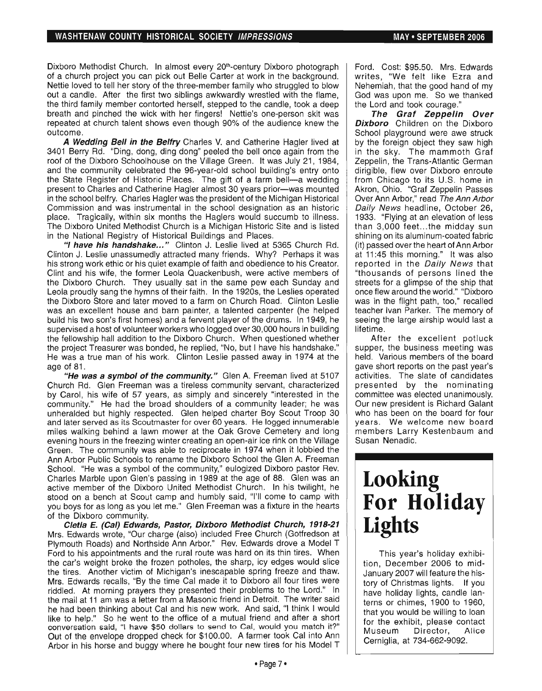Dixboro Methodist Church. In almost every 20<sup>th</sup>-century Dixboro photograph of a church project you can pick out Belle Carter at work in the background. Nettie loved to tell her story of the three-member family who struggled to blow out a candle. After the first two siblings awkwardly wrestled with the flame, the third family member contorted herself, stepped to the candle, took a deep breath and pinched the wick with her fingers! Nettie's one-person skit was repeated at church talent shows even though 90% of the audience knew the outcome.

A Wedding Bell in the Belfry Charles V. and Catherine Hagler lived at 3401 Berry Rd. "Ding, dong, ding dong" peeled the bell once again from the roof of the Dixboro Schoolhouse on the Village Green. It was July 21, 1984, and the community celebrated the 96-year-old school building's entry onto the State Register of Historic Places. The gift of a farm bell-a wedding present to Charles and Catherine Hagler almost 30 years prior-was mounted in the school belfry. Charles Hagler was the president of the Michigan Historical Commission and was instrumental in the school designation as an historic place. Tragically, within six months the Haglers would succumb to illness. The Dixboro United Methodist Church is a Michigan Historic Site and is listed in the National Registry of Historical Buildings and Places.

"I have his handshake..." Clinton J. Leslie lived at 5365 Church Rd. Clinton J. Leslie unassumedly attracted many friends. Why? Perhaps it was his strong work ethic or his quiet example of faith and obedience to his Creator. Clint and his wife, the former Leola Quackenbush, were active members of the Dixboro Church. They usually sat in the same pew each Sunday and Leola proudly sang the hymns of their faith. In the 1920s, the Leslies operated the Dixboro Store and later moved to a farm on Church Road. Clinton Leslie was an excellent house and barn painter, a talented carpenter (he helped build his two son's first homes) and a fervent player of the drums. In 1949, he supervised a host of volunteer workers who logged over 30,000 hours in building the fellowship hall addition to the Dixboro Church. When questioned whether the project Treasurer was bonded, he replied, "No, but I have his handshake." He was a true man of his work. Clinton Leslie passed away in 1974 at the age of 81 .

"He was a symbol of the community." Glen A. Freeman lived at 5107 Church Rd. Glen Freeman was a tireless community servant, characterized by Carol, his wife of 57 years, as simply and sincerely "interested in the community." He had the broad shoulders of a community leader; he was unheralded but highly respected. Glen helped charter Boy Scout Troop 30 and later served as its Scoutmaster for over 60 years. He logged innumerable miles walking behind a lawn mower at the Oak Grove Cemetery and long evening hours in the freezing winter creating an open-air ice rink on the Village Green. The community was able to reciprocate in 1974 when it lobbied the Ann Arbor Public Schools to rename the Dixboro School the Glen A. Freeman School. "He was a symbol of the community," eulogized Dixboro pastor Rev. Charles Marble upon Glen's passing in 1989 at the age of 88. Glen was an active member of the Dixboro United Methodist Church. In his twilight, he stood on a bench at Scout camp and humbly said, "I'll come to camp with you boys for as long as you let me." Glen Freeman was a fixture in the hearts of the Dixboro community.

Cletia E. (Cal) Edwards, Pastor, Dixboro Methodist Church, 1918-21 Mrs. Edwards wrote, "Our charge (also) included Free Church (Gotfredson at Plymouth Roads) and Northside Ann Arbor." Rev. Edwards drove a Model T Ford to his appointments and the rural route was hard on its thin tires. When the car's weight broke the frozen potholes, the sharp, icy edges would slice the tires. Another victim of Michigan's inescapable spring freeze and thaw. Mrs. Edwards recalls, "By the time Cal made it to Dixboro all four tires were riddled. At morning prayers they presented their problems to the Lord." In the mail at 11 am was a letter from a Masonic friend in Detroit. The writer said he had been thinking about Cal and his new work. And said, "I think I would like to help." So he went to the office of a mutual friend and after a short conversation said, "I have \$50 dollars to send to Cal, would you match it?" Out of the envelope dropped check for \$100.00. A farmer took Cal into Ann Arbor in his horse and buggy where he bought four new tires for his Model T

Ford. Cost: \$95.50. Mrs. Edwards writes, "We felt like Ezra and Nehemiah, that the good hand of my God was upon me. So we thanked the Lord and took courage."

The Graf Zeppelin Over **Dixboro** Children on the Dixboro School playground were awe struck by the foreign object they saw high in the sky. The mammoth Graf Zeppelin, the Trans-Atlantic German dirigible, flew over Dixboro enroute from Chicago to its U.S. home in Akron, Ohio. "Graf Zeppelin Passes Over Ann Arbor," read The Ann Arbor Daily News headline, October 26, 1933. "Flying at an elevation of less than 3,000 feet. .. the midday sun shining on its aluminum-coated fabric (it) passed over the heart of Ann Arbor at 11 :45 this morning." It was also reported in the Daily News that "thousands of persons lined the streets for a glimpse of the ship that once flew around the world." "Dixboro was in the flight path, too," recalled teacher Ivan Parker. The memory of seeing the large airship would last a lifetime.

After the excellent potluck supper, the business meeting was held. Various members of the board gave short reports on the past year's activities. The slate of candidates presented by the nominating committee was elected unanimously. Our new president is Richard Galant who has been on the board for four years. We welcome new board members Larry Kestenbaum and Susan Nenadic.

## **Looking For Holiday Lights**

This year's holiday exhibition, December 2006 to mid-January 2007 will feature the history of Christmas lights. If you have holiday lights, candle lanterns or chimes, 1900 to 1960, that you would be willing to loan for the exhibit, please contact Museum Director, Alice Cerniglia, at 734-662-9092.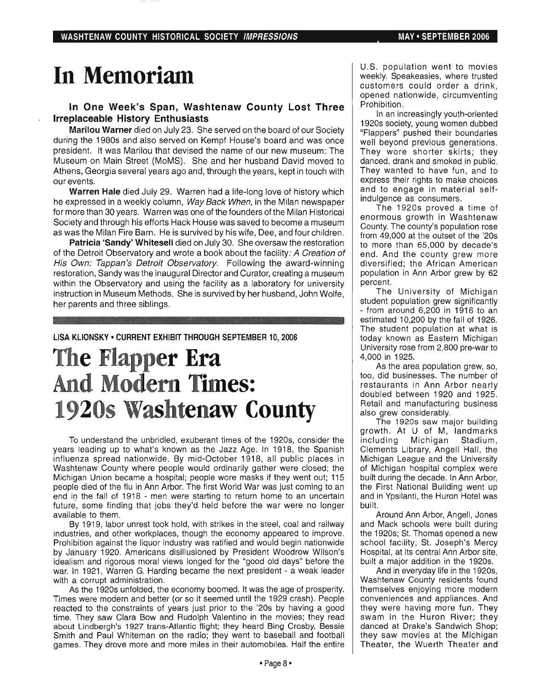## **In Memoriam**

### In One Week's Span, Washtenaw County Lost Three Irreplaceable History Enthusiasts

Marilou Warner died on July 23. She served on the board of our Society during the 1980s and also served on Kempf House's board and was once president. It was Marilou that devised the name of our new museum: The Museum on Main Street (MoMS). She and her husband David moved to Athens, Georgia several years ago and, through the years, kept in touch with our events.

Warren Hale died July 29. Warren had a life-long love of history which he expressed in a weekly column, Way Back When, in the Milan newspaper for more than 30 years. Warren was one of the founders of the Milan Historical Society and through his efforts Hack House was saved to become a museum as was the Milan Fire Barn. He is survived by his wife, Dee, and four children.

Patricia 'Sandy' Whitesell died on July 30. She oversaw the restoration of the Detroit Observatory and wrote a book about the facility: A Creation of His Own: Tappan's Detroit Observatory. Following the award-winning restoration, Sandy was the inaugural Director and Curator, creating a museum within the Observatory and using the facility as a laboratory for university instruction in Museum Methods. She is survived by her husband, John Wolfe, her parents and three siblings.

#### LISA KLiONSKY • CURRENT EXHIBIT THROUGH SEPTEMBER 10, 2006

## **The Flapper Era And Modern Times: 1920s Washtenaw County**

To understand the unbridled, exuberant times of the 1920s, consider the years leading up to what's known as the Jazz Age. In 1918, the Spanish influenza spread nationwide. By mid-October 1918, all public places in Washtenaw County where people would ordinarily gather were closed; the Michigan Union became a hospital; people wore masks if they went out; 115 people died of the flu in Ann Arbor. The first World War was just coming to an end in the fall of 1918 - men were starting to return home to an uncertain future, some finding that jobs they'd held before the war were no longer available to them.

By 1919, labor unrest took hold, with strikes in the steel, coal and railway industries, and other workplaces, though the economy appeared to improve. Prohibition against the liquor industry was ratified and would begin nationwide by January 1920. Americans disillusioned by President Woodrow Wilson's idealism and rigorous moral views longed for the "good old days" before the war. In 1921, Warren G. Harding became the next president - a weak leader with a corrupt administration.

As the 1920s unfolded, the economy boomed. It was the age of prosperity. Times were modern and better (or so it seemed until the 1929 crash). People reacted to the constraints of years just prior to the '20s by having a good time. They saw Clara Bow and Rudolph Valentino in the movies; they read about Lindbergh's 1927 trans-Atlantic flight; they heard Bing Crosby, Bessie Smith and Paul Whiteman on the radio; they went to baseball and football games. They drove more and more miles in their automobiles. Half the entire

U.S. population went to movies weekly. Speakeasies, where trusted customers could order a drink, opened nationwide, circumventing Prohibition.

In an increasingly youth-oriented 1920s society, young women dubbed "Flappers" pushed their boundaries well beyond previous generations. They wore shorter skirts; they danced, drank and smoked in public. They wanted to have fun, and to express their rights to make choices and to engage in material selfindulgence as consumers.

The 1920s proved a time of enormous growth in Washtenaw County. The county's population rose from 49,000 at the outset of the '20s to more than 65,000 by decade's end. And the county grew more diversified; the African American population in Ann Arbor grew by 62 percent.

The University of Michigan student population grew significantly - from around 6,200 in 1916 to an estimated 10,200 by the fall of 1926. The student population at what is today known as Eastern Michigan University rose from 2,800 pre-war to 4,000 in 1925.

As the area population grew, so, too, did businesses. The number of restaurants in Ann Arbor nearly doubled between 1920 and 1925. Retail and manufacturing business also grew considerably.

The 1920s saw major building growth. At U of M, landmarks including Michigan Stadium, Clements Library, Angell Hall, the Michigan League and the University of Michigan hospital complex were built during the decade. In Ann Arbor, the First National Building went up and in Ypsilanti, the Huron Hotel was built.

Around Ann Arbor, Angell, Jones and Mack schools were built during the 1920s; St. Thomas opened a new school facility; St. Joseph's Mercy Hospital, at its central Ann Arbor site, built a major addition in the 1920s.

And in everyday life in the 1920s, Washtenaw County residents found themselves enjoying more modern conveniences and appliances. And they were having more fun. They swam in the Huron River; they danced at Drake's Sandwich Shop; they saw movies at the Michigan Theater, the Wuerth Theater and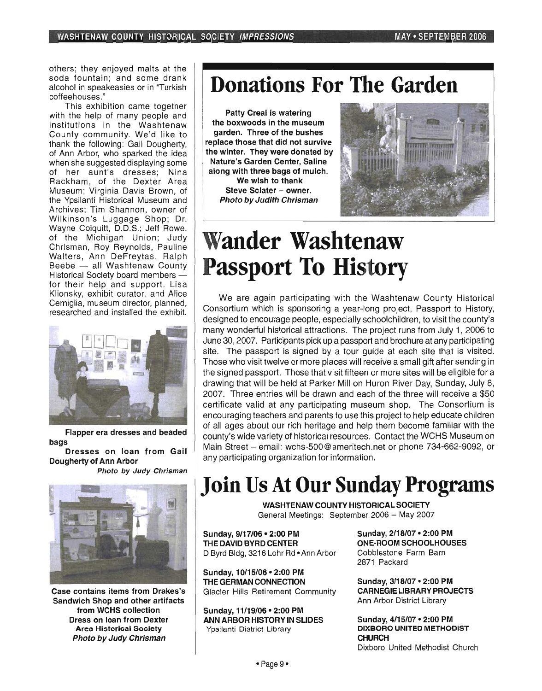others; they enjoyed malts at the soda fountain; and some drank alcohol in speakeasies or in "Turkish coffeehouses."

This exhibition came together with the help of many people and institutions in the Washtenaw County community. We'd like to thank the following: Gail Dougherty, of Ann Arbor, who sparked the idea when she suggested displaying some of her aunt's dresses; Nina Rackham, of the Dexter Area Museum; Virginia Davis Brown, of the Ypsilanti Historical Museum and Archives; Tim Shannon, owner of Wilkinson's Luggage Shop; Dr. Wayne Colquitt, D.D.S.; Jeff Rowe, of the Michigan Union; Judy Chrisman, Roy Reynolds, Pauline Walters, Ann DeFreytas, Ralph Beebe - all Washtenaw County Historical Society board members for their help and support. Lisa Klionsky, exhibit curator, and Alice Cerniglia, museum director, planned, researched and installed the exhibit.



Flapper era dresses and beaded bags

Dresses on loan from Gail Dougherty of Ann Arbor Photo by Judy Chrisman



Case contains items from Drakes's Sandwich Shop and other artifacts from WCHS collection Dress on loan from Dexter Area Historical Society Photo by Judy Chrisman

## **Donations For The Garden**

Patty Creal is watering the boxwoods in the museum garden. Three of the bushes replace those that did not survive the winter. They were donated by Nature's Garden Center, Saline along with three bags of mulch. We wish to thank Steve Sclater - owner. Photo by Judith Chrisman



## **Wander Washtenaw Passport To History**

We are again participating with the Washtenaw County Historical Consortium which is sponsoring a year-long project, Passport to History, designed to encourage people, especially schoolchildren, to visit the county's many wonderful historical attractions. The project runs from July 1, 2006 to June 30, 2007. Participants pick up a passport and brochure at any participating site. The passport is signed by a tour guide at each site that is visited. Those who visit twelve or more places will receive a small gift after sending in the signed passport. Those that visit fifteen or more sites will be eligible for a drawing that will be held at Parker Mill on Huron River Day, Sunday, July 8, 2007. Three entries will be drawn and each of the three will receive a \$50 certificate valid at any participating museum shop. The Consortium is encouraging teachers and parents to use this project to help educate children of all ages about our rich heritage and help them become familiar with the county's wide variety of historical resources. Contact the WCHS Museum on Main Street - email: wchs-500@ameritech.net or phone 734-662-9092, or any participating organization for information.

## **Join Us At Our Sunday Programs**

WASHTENAW COUNTY HISTORICAL SOCIETY General Meetings: September 2006 - May 2007

Sunday, 9/17/06· 2:00 PM THE DAVID BYRD CENTER D Byrd Bldg, 3216 Lohr Rd • Ann Arbor

Sunday, 10115/06· 2:00 PM THE GERMAN CONNECTION Glacier Hills Retirement Community

Sunday, 11/19/06· 2:00 PM ANN ARBOR HISTORY IN SLIDES Ypsilanti District Library

Sunday, 2118/07 • 2:00 PM ONE-ROOM SCHOOLHOUSES Cobblestone Farm Barn 2871 Packard

Sunday, 3/18/07 • 2:00 PM CARNEGIE LIBRARY PROJECTS Ann Arbor District Library

Sunday, 4/15/07 • 2:00 PM DIXSORO UNITED METHODIST **CHURCH** Dixboro United Methodist Church